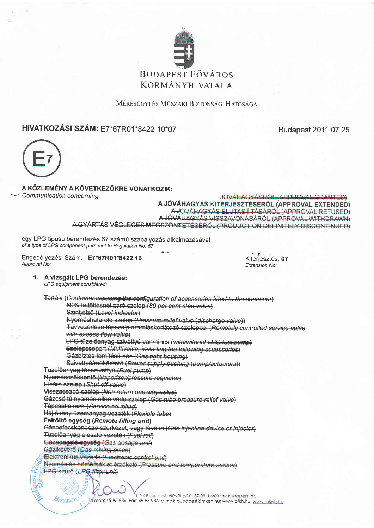

MÉRÉSÜGYI ÉS MŰSZAKI BIZTONSÁGI HATÓSÁGA

# HIVATKOZÁSI SZÁM: E7\*67R01\*8422 10\*07

Budapest 2011.07.25



## A KŐZLEMÉNY A KŐVETKEZŐKRE VONATKOZIK:

Communication concerning:

JÓVÁHAGYÁSRÓL (APPROVAL GRANTED) A JÓVÁHAGYÁS KITERJESZTÉSÉRŐL (APPROVAL EXTENDED) A JÓVÁHAGYÁS ELUTAS Í TÁSÁRÓL (APPROVAL REFUSED) A JÓVÁHAGYÁS VISSZAVONÁSÁRÓL (APPROVAL WITHDRAWN) A GYÁRTÁS VÉGLEGES MEGSZŐNTETÉSÉRŐL (PRODUCTION DEFINITELY DISCONTINUED)

egy LPG tipusu berendezés 67 számú szabályozás alkalmazásával of a type of LPG component pursuant to Regulation No. 67

Engedélyezési Szám: E7\*67R01\*8422 10 Approval No:

Kiteriesztés: 07 Extension No:

#### 1. A vizsgált LPG berendezés:

LPG equipment considered:

Biztonsa

Tartály (Container including the configuration of accessories fitted to the container) 80% feltöltésnél záró szelep (80 per cent stop valve) Szintjelző (Level indicator) Nyomáshatároló szelep (Pressure relief valve (discharge valve)) Távvezérlésű tápszelp áramláskorlátozó szeleppel (Remotely controlled service valve with excess flow valve) LPG tüzelőanyag szivattyú van/nincs (with/without LPG fuel pump) Szelepcsoport (Multivalve, including the following accessories) Gázbiztos tömítésű ház (Gas tight housing) Szivattyú/működtető (Power supply bushing (pump/actuators)) Tüzelőanyag tápszivattyú (Fuel pump) Nyomáscsökkentő (Vaporizer/pressure regulator) Elzáró szelep (Shut off valve) Visszacsapó szelep (Non return one way valve) Gázcső túlnyomás ellen védő szelep (Gas tube pressure relief valve) Tápcsatlakozó (Service coupling) Hajlékony üzemanyag vezeték (Floxible tube) Feltöltő egység (Remote filling unit) Gázbefecskendező szerkezet, vagy fúvóka (Gas injection device or injector) Tüzelőanyag elesztó vezeték (Fuel rail) Gázadagoló egység (Gas dosage unit) Gázikeverő (Gas mixing piece) Elektronikus vezerlö (Electronic control unit) Nyomás és hömérséklet érzékelő (Pressure and temperature sensor) LPG szűrő (LPG filter unit)

> 1124 Budapest, Névölgyi út 37-39, levélcim: Budapest Pf:... . Telefon: 45-85-836; Fax: 45-85-986; e-mail: <u>budapest@mkeh.hu; www.bfkh.hu; www.mkeh.hu</u>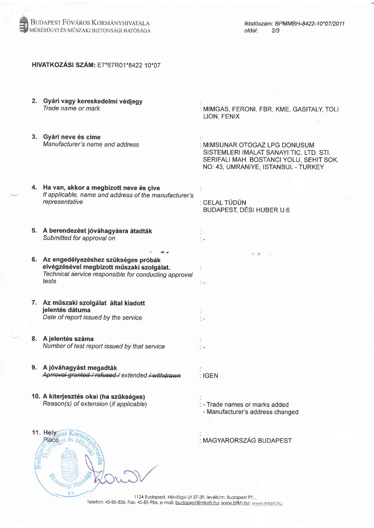

### HIVATKOZÁSI SZÁM: E7\*67R01\*8422 10\*07

|                                                          | 2. Gyári vagy kereskedelmi védjegy<br>Trade name or mark                                                                                              | : MIMGAS, FERONI, FBR, KME, GASITALY, TOLI<br>LION, FENIX                                                                                                  |
|----------------------------------------------------------|-------------------------------------------------------------------------------------------------------------------------------------------------------|------------------------------------------------------------------------------------------------------------------------------------------------------------|
|                                                          | 3. Gyári neve és címe<br>Manufacturer's name and address                                                                                              | : MIMSUNAR OTOGAZ LPG DONUSUM<br>SISTEMLERI IMALAT SANAYI TIC. LTD. STI.<br>SERIFALI MAH. BOSTANCI YOLU, SEHIT SOK.<br>NO: 43, UMRANIYE, ISTANBUL - TURKEY |
|                                                          | 4. Ha van, akkor a megbízott neve és çive<br>If applicable, name and address of the manufacturer's<br>representative                                  | : CELAL TÜDÜN<br>BUDAPEST, DÉSI HUBER U.6                                                                                                                  |
|                                                          | 5. A berendezést jóváhagyásra átadták<br>Submitted for approval on                                                                                    |                                                                                                                                                            |
|                                                          | 6. Az engedélyezéshez szükséges próbák<br>elvégzésével megbízott műszaki szolgálat.<br>Technical service responsible for conducting approval<br>tests | $8 - 8 - 1 = 1$<br>t –                                                                                                                                     |
|                                                          | 7. Az műszaki szolgálat által kiadott<br>jelentés dátuma<br>Date of report issued by the service                                                      |                                                                                                                                                            |
|                                                          | 8. A jelentés száma<br>Number of test report issued by that service                                                                                   |                                                                                                                                                            |
|                                                          | 9. A jóváhagyást megadták<br>Aprroval granted / refused / extended / withdra                                                                          | : IGEN                                                                                                                                                     |
|                                                          | 10. A kiterjesztés okai (ha szükséges)<br>Reason(s) of extension (if applicable)                                                                      | : - Trade names or marks added<br>- Manufacturer's address changed                                                                                         |
|                                                          | 11. Hely <sub>sros</sub> Ko                                                                                                                           | : MAGYARORSZÁG BUDAPEST                                                                                                                                    |
| 1124 Budapest, Névölgyi út 37-39, levélcim: Budapest Pf: |                                                                                                                                                       |                                                                                                                                                            |

Telefon: 45-85-836; Fax: 45-85-986; e-mail: budapest@mkeh.hu; www.bfkh.hu; www.mkeh.hu